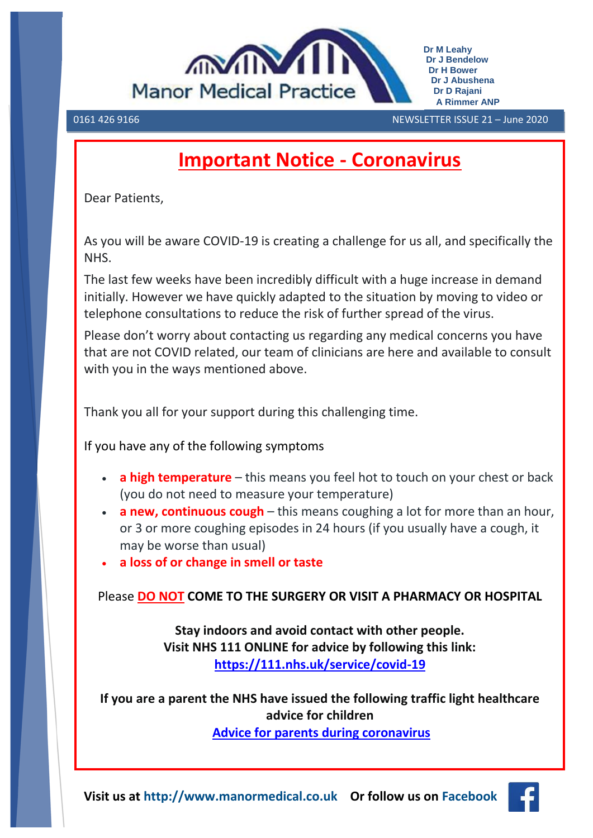

0161 426 9166 NEWSLETTER ISSUE 21 – June 2020 

# **Important Notice - Coronavirus**

Dear Patients,

As you will be aware COVID-19 is creating a challenge for us all, and specifically the NHS.

The last few weeks have been incredibly difficult with a huge increase in demand initially. However we have quickly adapted to the situation by moving to video or telephone consultations to reduce the risk of further spread of the virus.

Please don't worry about contacting us regarding any medical concerns you have that are not COVID related, our team of clinicians are here and available to consult with you in the ways mentioned above.

Thank you all for your support during this challenging time.

If you have any of the following symptoms

- **a high temperature** this means you feel hot to touch on your chest or back (you do not need to measure your temperature)
- **a new, continuous cough** this means coughing a lot for more than an hour, or 3 or more coughing episodes in 24 hours (if you usually have a cough, it may be worse than usual)
- **a loss of or change in smell or taste**

Please **DO NOT COME TO THE SURGERY OR VISIT A PHARMACY OR HOSPITAL**

**Stay indoors and avoid contact with other people. Visit NHS 111 ONLINE for advice by following this link: <https://111.nhs.uk/service/covid-19>**

**If you are a parent the NHS have issued the following traffic light healthcare advice for children [Advice for parents during coronavirus](file://///AGMH2RESCIFS01.resources.greatermanchestercsu.nhs.uk/CIFS_StockportCCG_GPs/P88003/Shared/Legacy/Kate/WEBSITE/coronavirus%20traffic%20light/Parent_Guide_COVID-19%20Final%20(1).pdf)**

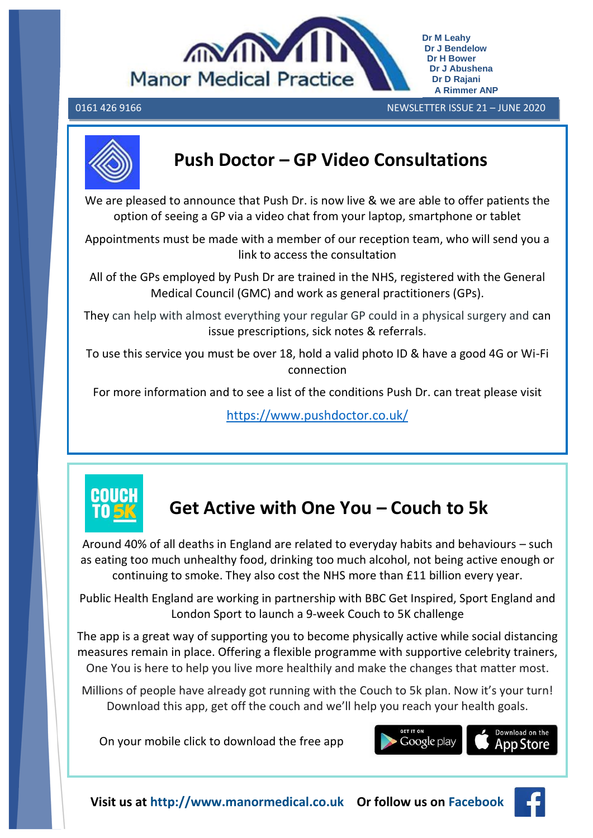

0161 426 9166 NEWSLETTER ISSUE 21 – JUNE 2020  **A Rimmer ANP**

**Dr M Leahy Dr J Bendelow Dr H Bower Dr J Abushena Dr D Rajani**



# **Push Doctor – GP Video Consultations**

We are pleased to announce that Push Dr. is now live & we are able to offer patients the option of seeing a GP via a video chat from your laptop, smartphone or tablet

Appointments must be made with a member of our reception team, who will send you a link to access the consultation

All of the GPs employed by Push Dr are trained in the NHS, registered with the General Medical Council (GMC) and work as general practitioners (GPs).

They can help with almost everything your regular GP could in a physical surgery and can issue prescriptions, sick notes & referrals.

To use this service you must be over 18, hold a valid photo ID & have a good 4G or Wi-Fi connection

For more information and to see a list of the conditions Push Dr. can treat please visit

<https://www.pushdoctor.co.uk/>



# **Get Active with One You – Couch to 5k**

Around 40% of all deaths in England are related to everyday habits and behaviours – such as eating too much unhealthy food, drinking too much alcohol, not being active enough or continuing to smoke. They also cost the NHS more than £11 billion every year.

Public Health England are working in partnership with BBC Get Inspired, Sport England and London Sport to launch a 9-week Couch to 5K challenge

The app is a great way of supporting you to become physically active while social distancing measures remain in place. Offering a flexible programme with supportive celebrity trainers, One You is here to help you live more healthily and make the changes that matter most.

Millions of people have already got running with the Couch to 5k plan. Now it's your turn! Download this app, get off the couch and we'll help you reach your health goals.

On your mobile click to download the free app



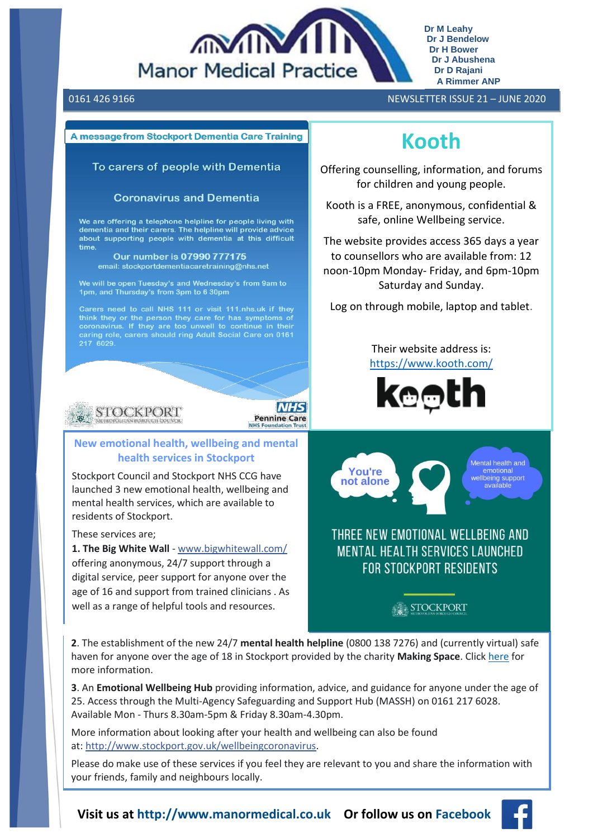

**Dr M Leahy Dr J Bendelow Dr H Bower Dr J Abushena Dr D Rajani A Rimmer ANP**

#### A message from Stockport Dementia Care Training

#### To carers of people with Dementia

#### **Coronavirus and Dementia**

We are offering a telephone helpline for people living with dementia and their carers. The helpline will provide advice about supporting people with dementia at this difficult time.

Our number is 07990 777175 email: stockportdementiacaretraining@nhs.net

We will be open Tuesday's and Wednesday's from 9am to 1pm, and Thursday's from 3pm to 6 30pm

caring role, carers should ring Adult Social Care on 0161



#### **New emotional health, wellbeing and mental health services in Stockport**

Stockport Council and Stockport NHS CCG have launched 3 new emotional health, wellbeing and mental health services, which are available to residents of Stockport.

These services are;

**1. The Big White Wall** - [www.bigwhitewall.com/](http://www.bigwhitewall.com/?fbclid=IwAR14PWDSU9Mi0aQDqT_RAAvK62knwo337X619vP4AC1ZXsML83moenou7wI) offering anonymous, 24/7 support through a digital service, peer support for anyone over the age of 16 and support from trained clinicians . As well as a range of helpful tools and resources.

## 0161 426 9166 NEWSLETTER ISSUE 21 – JUNE 2020

# **Kooth**

Offering counselling, information, and forums for children and young people.

Kooth is a FREE, anonymous, confidential & safe, online Wellbeing service.

The website provides access 365 days a year to counsellors who are available from: 12 noon-10pm Monday- Friday, and 6pm-10pm Saturday and Sunday.

Log on through mobile, laptop and tablet.

Their website address is: <https://www.kooth.com/>





## THREE NEW EMOTIONAL WELLBEING AND **MENTAL HEALTH SERVICES LAUNCHED FOR STOCKPORT RESIDENTS**

## STOCKPORT

**2**. The establishment of the new 24/7 **mental health helpline** (0800 138 7276) and (currently virtual) safe haven for anyone over the age of 18 in Stockport provided by the charity **Making Space**. Click [here](file://///AGMH2RESCIFS01.resources.greatermanchestercsu.nhs.uk/CIFS_StockportCCG_GPs/P88003/Shared/Legacy/Kate/WEBSITE/7406FD_Open%20Door%20A5%20Leaflet%202pp-low.pdf) for more information.

**NHS** 

**Pennine Care** 

**3**. An **Emotional Wellbeing Hub** providing information, advice, and guidance for anyone under the age of 25. Access through the Multi-Agency Safeguarding and Support Hub (MASSH) on 0161 217 6028. Available Mon - Thurs 8.30am-5pm & Friday 8.30am-4.30pm.

More information about looking after your health and wellbeing can also be found at: [http://www.stockport.gov.uk/wellbeingcoronavirus.](http://www.stockport.gov.uk/wellbeingcoronavirus?fbclid=IwAR1bTzkr122q2LkL-0Zfk-R3DsJ3WCNgCe8ISnBRl_8EzzWNyGzuLtmTGso)

Please do make use of these services if you feel they are relevant to you and share the information with your friends, family and neighbours locally.